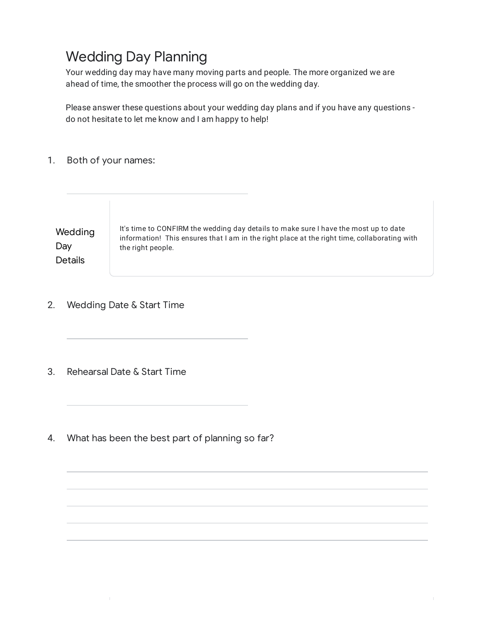# Wedding Day Planning

Your wedding day may have many moving parts and people. The more organized we are ahead of time, the smoother the process will go on the wedding day.

Please answer these questions about your wedding day plans and if you have any questions do not hesitate to let me know and I am happy to help!

1. Both of your names:

**Wedding** Day **Details** It's time to CONFIRM the wedding day details to make sure I have the most up to date information! This ensures that I am in the right place at the right time, collaborating with the right people.

- 2. Wedding Date & Start Time
- 3. Rehearsal Date & Start Time
- 4. What has been the best part of planning so far?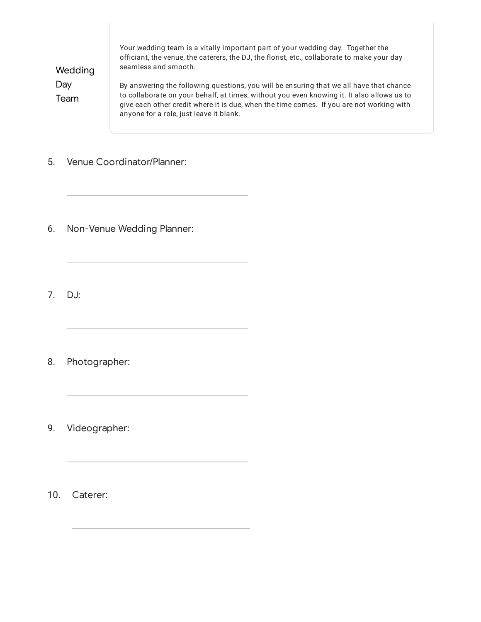| Wedding<br>Day<br>Team | Your wedding team is a vitally important part of your wedding day. Together the<br>officiant, the venue, the caterers, the DJ, the florist, etc., collaborate to make your day<br>seamless and smooth.                                                                                                                       |
|------------------------|------------------------------------------------------------------------------------------------------------------------------------------------------------------------------------------------------------------------------------------------------------------------------------------------------------------------------|
|                        | By answering the following questions, you will be ensuring that we all have that chance<br>to collaborate on your behalf, at times, without you even knowing it. It also allows us to<br>give each other credit where it is due, when the time comes. If you are not working with<br>anyone for a role, just leave it blank. |

- 5. Venue Coordinator/Planner:
- 6. Non-Venue Wedding Planner:
- 7. DJ:
- 8. Photographer:
- 9. Videographer:

10. Caterer: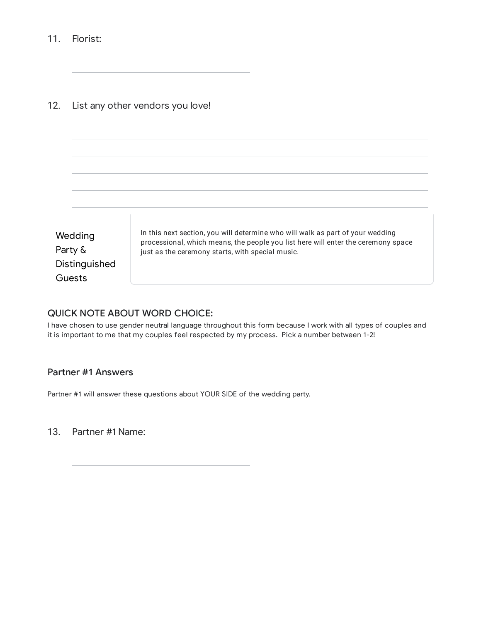11. Florist:

12. List any other vendors you love!



### QUICK NOTE ABOUT WORD CHOICE:

I have chosen to use gender neutral language throughout this form because I work with all types of couples and it is important to me that my couples feel respected by my process. Pick a number between 1-2!

## Partner #1 Answers

Partner #1 will answer these questions about YOUR SIDE of the wedding party.

13. Partner #1 Name: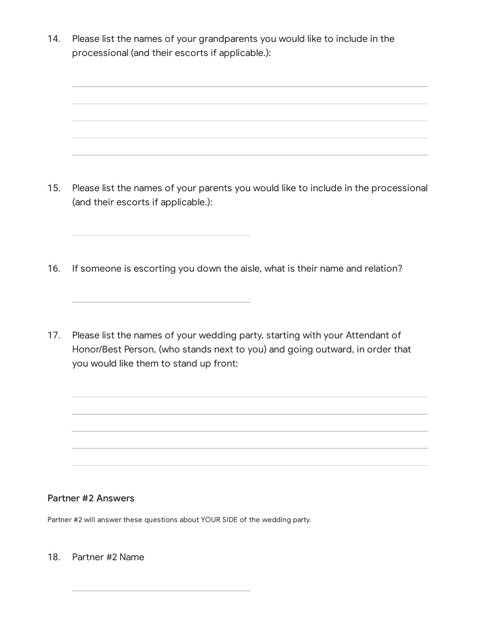14. Please list the names of your grandparents you would like to include in the processional (and their escorts if applicable.):

- 15. Please list the names of your parents you would like to include in the processional (and their escorts if applicable.):
- 16. If someone is escorting you down the aisle, what is their name and relation?
- 17. Please list the names of your wedding party, starting with your Attendant of Honor/Best Person, (who stands next to you) and going outward, in order that you would like them to stand up front:

### Partner #2 Answers

Partner #2 will answer these questions about YOUR SIDE of the wedding party.

18. Partner #2 Name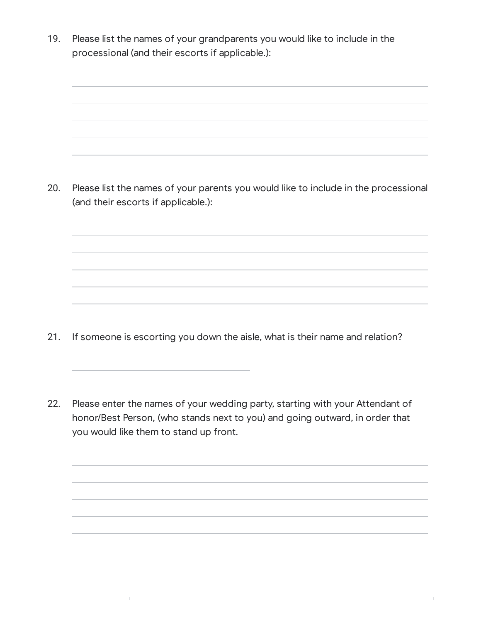19. Please list the names of your grandparents you would like to include in the processional (and their escorts if applicable.):

20. Please list the names of your parents you would like to include in the processional (and their escorts if applicable.):

- 21. If someone is escorting you down the aisle, what is their name and relation?
- 22. Please enter the names of your wedding party, starting with your Attendant of honor/Best Person, (who stands next to you) and going outward, in order that you would like them to stand up front.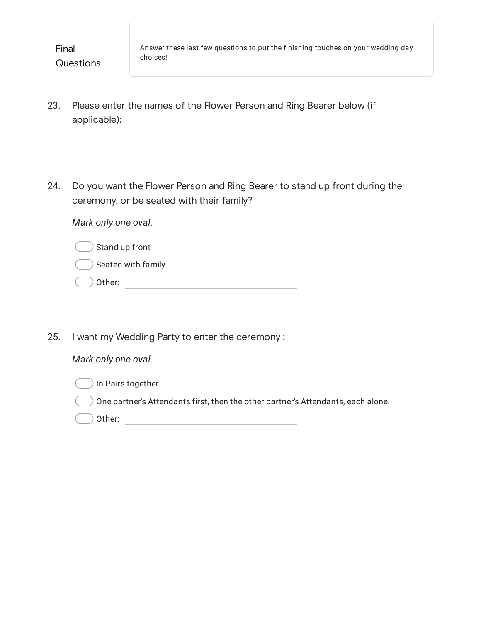- 23. Please enter the names of the Flower Person and Ring Bearer below (if applicable):
- 24. Do you want the Flower Person and Ring Bearer to stand up front during the ceremony, or be seated with their family?

*Mark only one oval.*

|  | ) Stand up front |  |  |
|--|------------------|--|--|
|--|------------------|--|--|

- Seated with family
- Other: with a state of the state of the state of the state of the state of the state of the state of the state of the state of the state of the state of the state of the state of the state of the state of the state of the
- 25. I want my Wedding Party to enter the ceremony :

# *Mark only one oval.*



One partner's Attendants first, then the other partner's Attendants, each alone.

Other: when the contract of the contract of the contract of the contract of the contract of the contract of the contract of the contract of the contract of the contract of the contract of the contract of the contract of th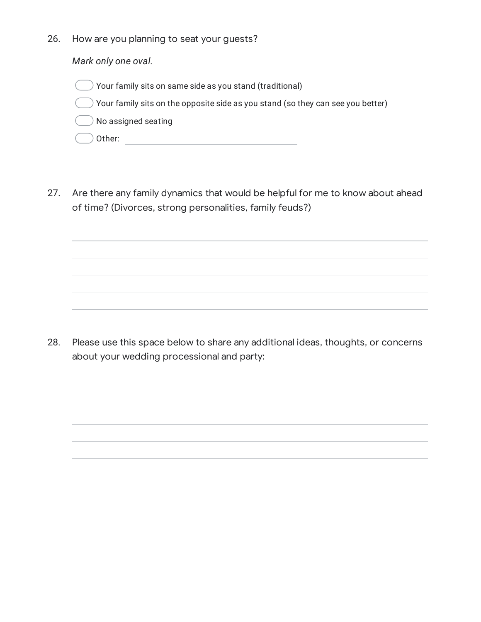26. How are you planning to seat your guests?

*Mark only one oval.*

 $)$  Your family sits on same side as you stand (traditional)

 $\,$  Your family sits on the opposite side as you stand (so they can see you better)

No assigned seating

- Other:
- 27. Are there any family dynamics that would be helpful for me to know about ahead of time? (Divorces, strong personalities, family feuds?)

28. Please use this space below to share any additional ideas, thoughts, or concerns about your wedding processional and party: